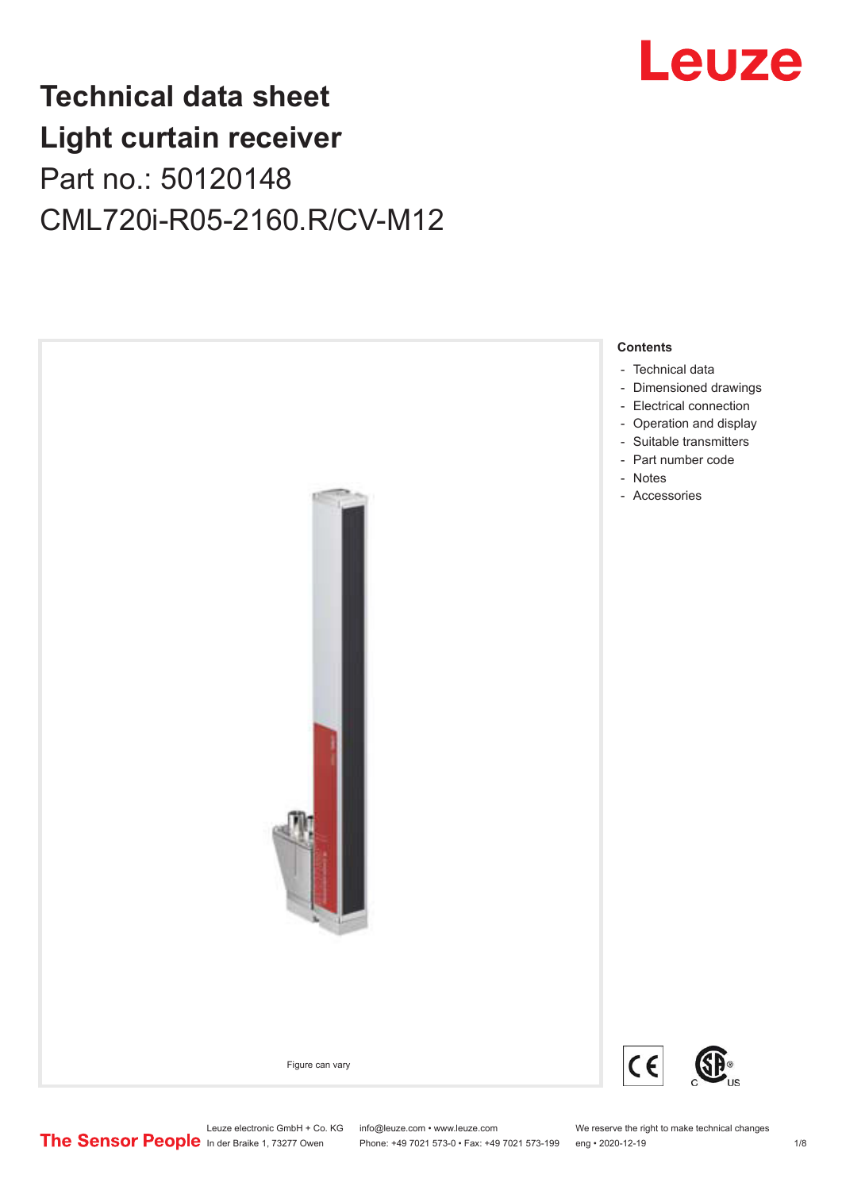

## **Technical data sheet Light curtain receiver** Part no.: 50120148 CML720i-R05-2160.R/CV-M12



Leuze electronic GmbH + Co. KG info@leuze.com • www.leuze.com We reserve the right to make technical changes<br>
The Sensor People in der Braike 1, 73277 Owen Phone: +49 7021 573-0 • Fax: +49 7021 573-199 eng • 2020-12-19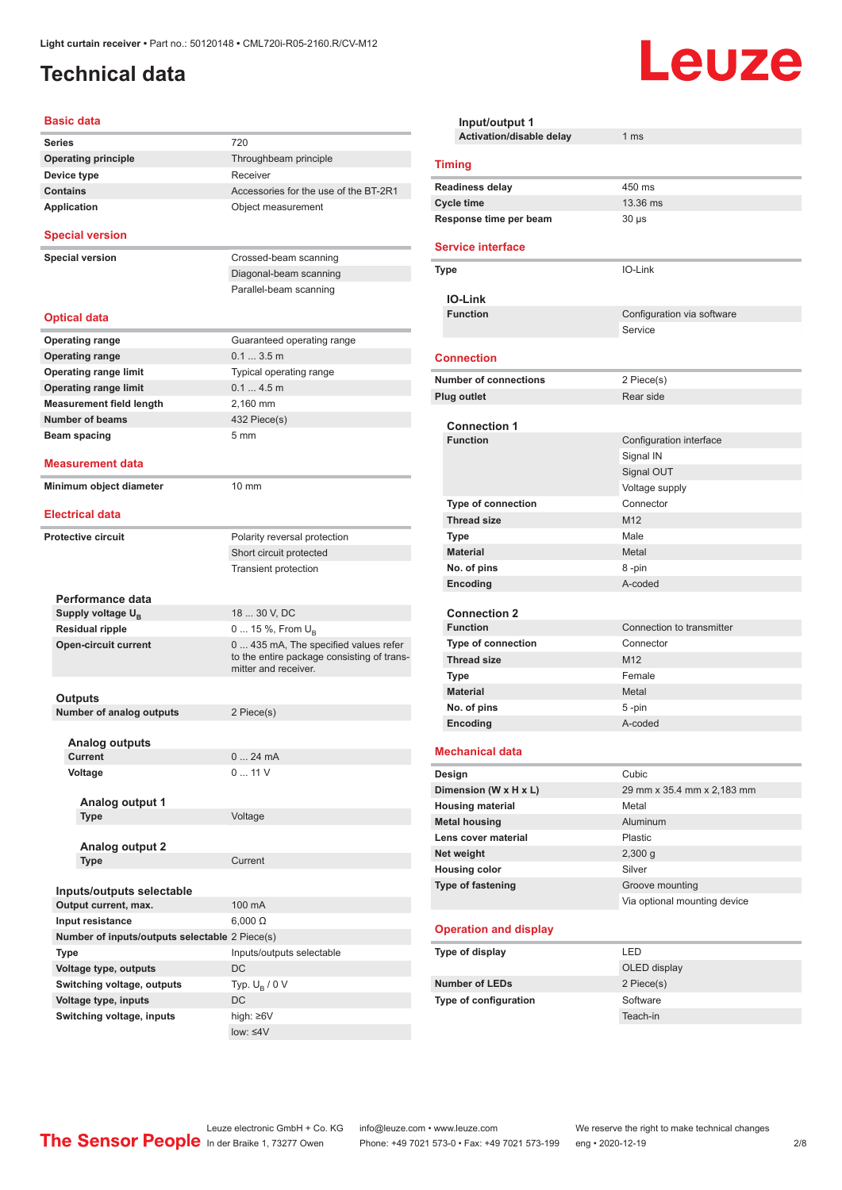## <span id="page-1-0"></span>**Technical data**

#### **Basic data**

| <b>Series</b>                                  | 720                                                                                                        |
|------------------------------------------------|------------------------------------------------------------------------------------------------------------|
| <b>Operating principle</b>                     | Throughbeam principle                                                                                      |
| Device type                                    | Receiver                                                                                                   |
| <b>Contains</b>                                | Accessories for the use of the BT-2R1                                                                      |
| <b>Application</b>                             | Object measurement                                                                                         |
| <b>Special version</b>                         |                                                                                                            |
| <b>Special version</b>                         | Crossed-beam scanning                                                                                      |
|                                                | Diagonal-beam scanning                                                                                     |
|                                                | Parallel-beam scanning                                                                                     |
|                                                |                                                                                                            |
| <b>Optical data</b>                            |                                                                                                            |
| <b>Operating range</b>                         | Guaranteed operating range                                                                                 |
| <b>Operating range</b>                         | $0.13.5$ m                                                                                                 |
| <b>Operating range limit</b>                   | Typical operating range                                                                                    |
| <b>Operating range limit</b>                   | 0.14.5m                                                                                                    |
| <b>Measurement field length</b>                | 2,160 mm                                                                                                   |
| <b>Number of beams</b>                         | 432 Piece(s)                                                                                               |
| Beam spacing                                   | 5 mm                                                                                                       |
|                                                |                                                                                                            |
| <b>Measurement data</b>                        |                                                                                                            |
| Minimum object diameter                        | 10 mm                                                                                                      |
| <b>Electrical data</b>                         |                                                                                                            |
| <b>Protective circuit</b>                      | Polarity reversal protection                                                                               |
|                                                | Short circuit protected                                                                                    |
|                                                |                                                                                                            |
|                                                | Transient protection                                                                                       |
| Performance data                               |                                                                                                            |
| Supply voltage U <sub>B</sub>                  | 18  30 V, DC                                                                                               |
| <b>Residual ripple</b>                         | 0  15 %, From $U_B$                                                                                        |
| <b>Open-circuit current</b>                    | 0 435 mA, The specified values refer<br>to the entire package consisting of trans-<br>mitter and receiver. |
|                                                |                                                                                                            |
| Outputs                                        |                                                                                                            |
| <b>Number of analog outputs</b>                | 2 Piece(s)                                                                                                 |
| <b>Analog outputs</b>                          |                                                                                                            |
| Current                                        | 24 mA<br>$0$                                                                                               |
| Voltage                                        | 011V                                                                                                       |
|                                                |                                                                                                            |
| Analog output 1                                |                                                                                                            |
| Type                                           | Voltage                                                                                                    |
|                                                |                                                                                                            |
| <b>Analog output 2</b>                         | Current                                                                                                    |
| Type                                           |                                                                                                            |
| Inputs/outputs selectable                      |                                                                                                            |
| Output current, max.                           | 100 mA                                                                                                     |
| Input resistance                               | $6,000 \Omega$                                                                                             |
| Number of inputs/outputs selectable 2 Piece(s) |                                                                                                            |
| Type                                           | Inputs/outputs selectable                                                                                  |
| Voltage type, outputs                          | DC                                                                                                         |
| Switching voltage, outputs                     | Typ. $U_R / 0 V$                                                                                           |
| Voltage type, inputs                           | DC                                                                                                         |
| Switching voltage, inputs                      | high: ≥6V                                                                                                  |
|                                                | $low: 4V$                                                                                                  |
|                                                |                                                                                                            |

| Input/output 1<br>Activation/disable delay   | 1 <sub>ms</sub>                        |  |
|----------------------------------------------|----------------------------------------|--|
|                                              |                                        |  |
| <b>Timing</b>                                |                                        |  |
| <b>Readiness delay</b>                       | 450 ms                                 |  |
| <b>Cycle time</b>                            | 13.36 ms                               |  |
| Response time per beam                       | $30 \mu s$                             |  |
| <b>Service interface</b>                     |                                        |  |
| Type                                         | IO-Link                                |  |
| <b>IO-Link</b>                               |                                        |  |
| <b>Function</b>                              | Configuration via software             |  |
|                                              | Service                                |  |
| <b>Connection</b>                            |                                        |  |
| <b>Number of connections</b>                 | 2 Piece(s)                             |  |
| <b>Plug outlet</b>                           | Rear side                              |  |
|                                              |                                        |  |
| <b>Connection 1</b><br><b>Function</b>       | Configuration interface                |  |
|                                              | Signal IN                              |  |
|                                              | Signal OUT                             |  |
|                                              | Voltage supply                         |  |
| <b>Type of connection</b>                    | Connector                              |  |
| <b>Thread size</b>                           | M12                                    |  |
| <b>Type</b>                                  | Male                                   |  |
| <b>Material</b>                              | Metal                                  |  |
| No. of pins                                  | 8-pin                                  |  |
| Encoding                                     | A-coded                                |  |
|                                              |                                        |  |
| <b>Connection 2</b>                          |                                        |  |
| <b>Function</b><br><b>Type of connection</b> | Connection to transmitter<br>Connector |  |
| <b>Thread size</b>                           | M12                                    |  |
| <b>Type</b>                                  | Female                                 |  |
| <b>Material</b>                              | Metal                                  |  |
| No. of pins                                  | 5-pin                                  |  |
| Encoding                                     | A-coded                                |  |
|                                              |                                        |  |
| <b>Mechanical data</b>                       |                                        |  |
| Design                                       | Cubic                                  |  |
| Dimension (W x H x L)                        | 29 mm x 35.4 mm x 2,183 mm             |  |
| <b>Housing material</b>                      | Metal                                  |  |
| <b>Metal housing</b>                         | Aluminum                               |  |
| Lens cover material                          | Plastic                                |  |
| Net weight                                   | $2,300$ g<br>Silver                    |  |
| <b>Housing color</b><br>Type of fastening    | Groove mounting                        |  |
|                                              | Via optional mounting device           |  |
|                                              |                                        |  |
| <b>Operation and display</b>                 |                                        |  |
| Type of display                              | <b>LED</b>                             |  |
|                                              | OLED display                           |  |
| <b>Number of LEDs</b>                        | 2 Piece(s)                             |  |
| Type of configuration                        | Software                               |  |
|                                              | Teach-in                               |  |

Leuze

Leuze electronic GmbH + Co. KG info@leuze.com • www.leuze.com We reserve the right to make technical changes

ln der Braike 1, 73277 Owen Phone: +49 7021 573-0 • Fax: +49 7021 573-199 eng • 2020-12-19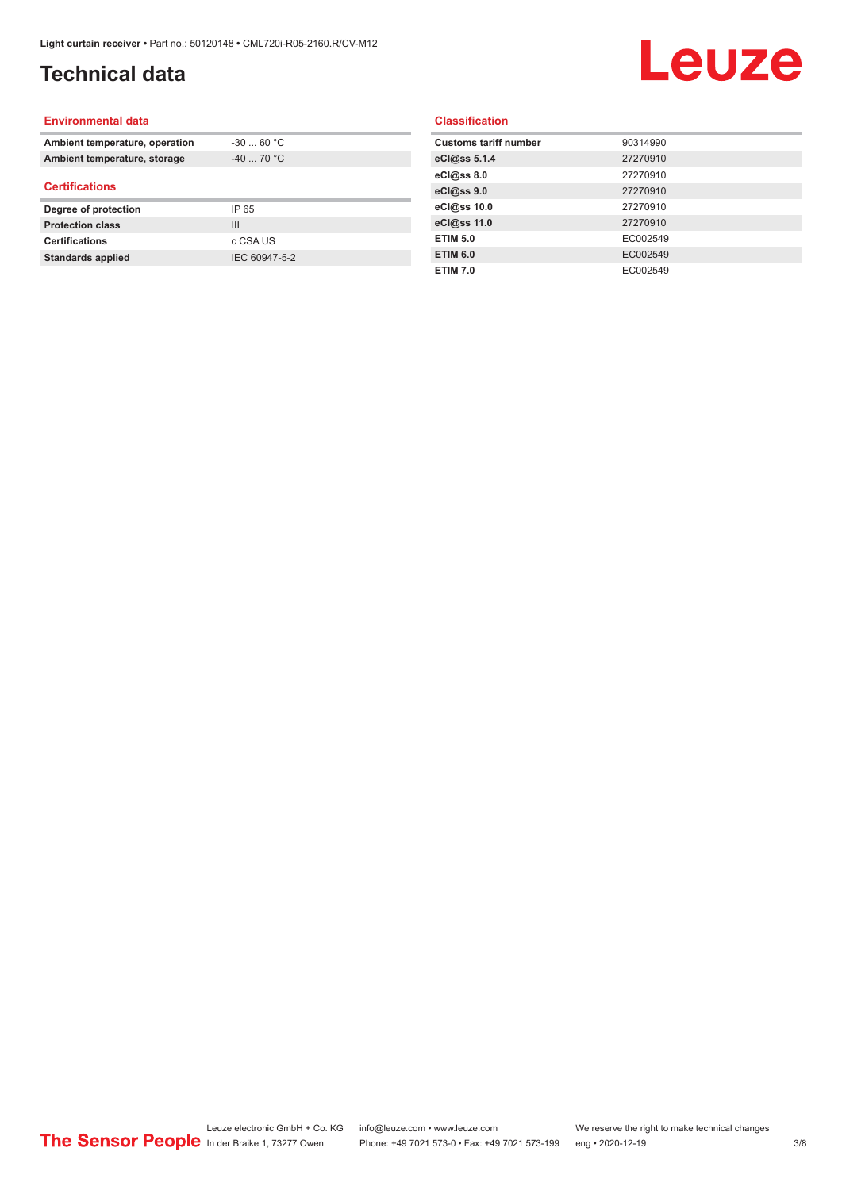## **Technical data**

# Leuze

#### **Environmental data**

| Ambient temperature, operation | $-30$ 60 °C |  |
|--------------------------------|-------------|--|
| Ambient temperature, storage   | $-40$ 70 °C |  |
| <b>Certifications</b>          |             |  |
|                                |             |  |
| Degree of protection           | IP 65       |  |
| <b>Protection class</b>        | Ш           |  |
| <b>Certifications</b>          | c CSA US    |  |

#### **Classification**

| <b>Customs tariff number</b> | 90314990 |
|------------------------------|----------|
| eCl@ss 5.1.4                 | 27270910 |
| eCl@ss 8.0                   | 27270910 |
| eCl@ss 9.0                   | 27270910 |
| eCl@ss 10.0                  | 27270910 |
| eCl@ss 11.0                  | 27270910 |
| <b>ETIM 5.0</b>              | EC002549 |
| <b>ETIM 6.0</b>              | EC002549 |
| <b>ETIM 7.0</b>              | EC002549 |
|                              |          |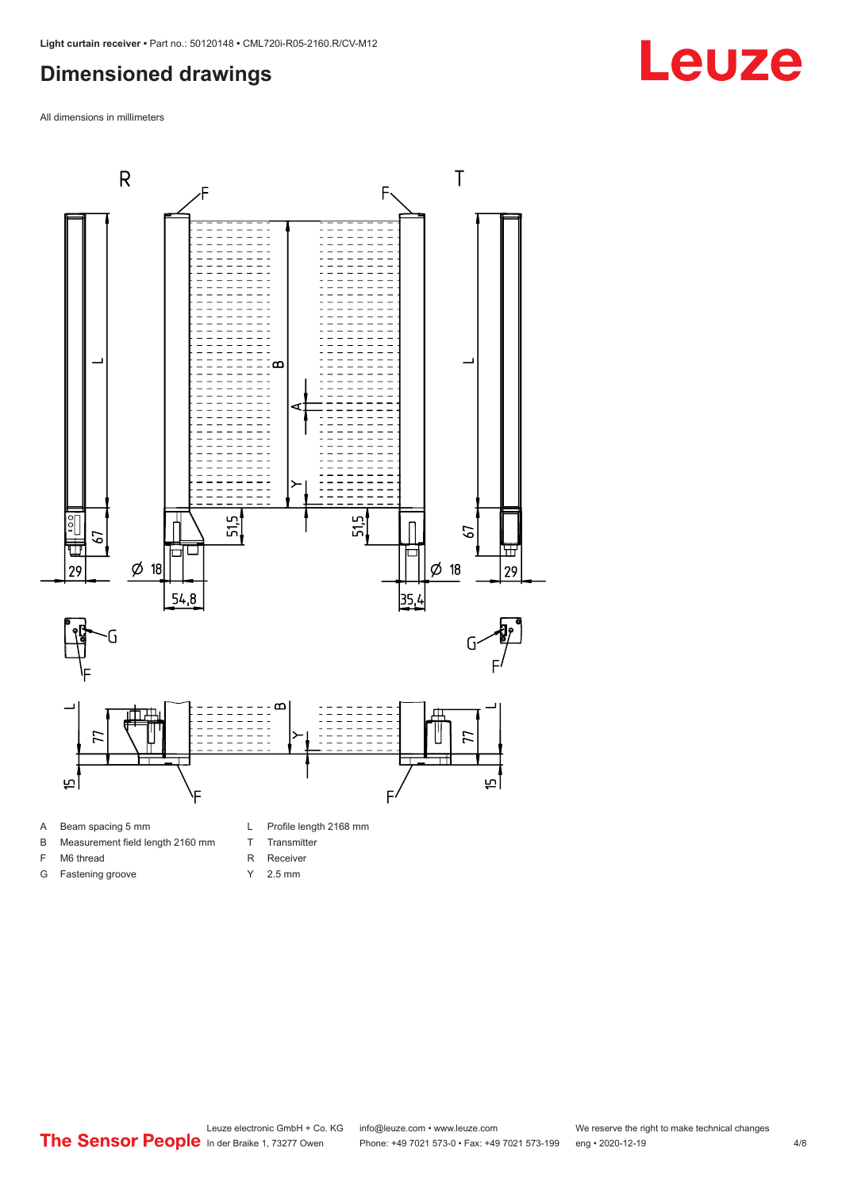### <span id="page-3-0"></span>**Dimensioned drawings**

All dimensions in millimeters



- A Beam spacing 5 mm
- B Measurement field length 2160 mm
- F M6 thread
- G Fastening groove
- T Transmitter R Receiver
- 



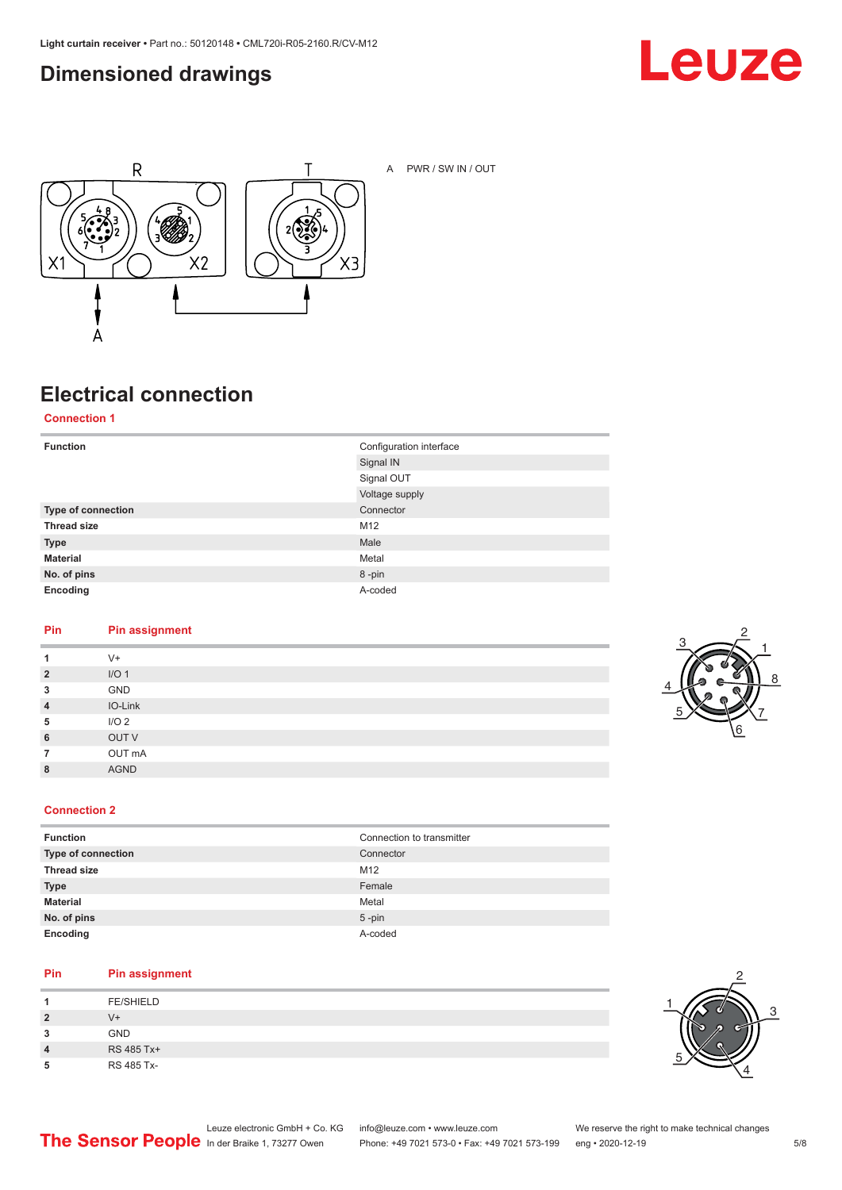### <span id="page-4-0"></span>**Dimensioned drawings**





A PWR / SW IN / OUT

## **Electrical connection**

**Connection 1**

| <b>Function</b>    | Configuration interface |
|--------------------|-------------------------|
|                    | Signal IN               |
|                    | Signal OUT              |
|                    | Voltage supply          |
| Type of connection | Connector               |
| <b>Thread size</b> | M12                     |
| <b>Type</b>        | Male                    |
| <b>Material</b>    | Metal                   |
| No. of pins        | 8-pin                   |
| Encoding           | A-coded                 |

#### **Pin Pin assignment**

| 1              | $V^+$            |
|----------------|------------------|
| $\overline{2}$ | I/O <sub>1</sub> |
| 3              | GND              |
| $\overline{4}$ | IO-Link          |
| 5              | I/O <sub>2</sub> |
| 6              | OUT V            |
| 7              | OUT mA           |
| 8              | <b>AGND</b>      |
|                |                  |



#### **Connection 2**

| <b>Function</b>    | Connection to transmitter |
|--------------------|---------------------------|
| Type of connection | Connector                 |
| <b>Thread size</b> | M <sub>12</sub>           |
| <b>Type</b>        | Female                    |
| <b>Material</b>    | Metal                     |
| No. of pins        | $5$ -pin                  |
| Encoding           | A-coded                   |

#### **Pin Pin assignment**

| л              | <b>FE/SHIELD</b> |
|----------------|------------------|
| $\overline{2}$ | V+               |
| 3              | <b>GND</b>       |
| 4              | RS 485 Tx+       |
| 5              | RS 485 Tx-       |

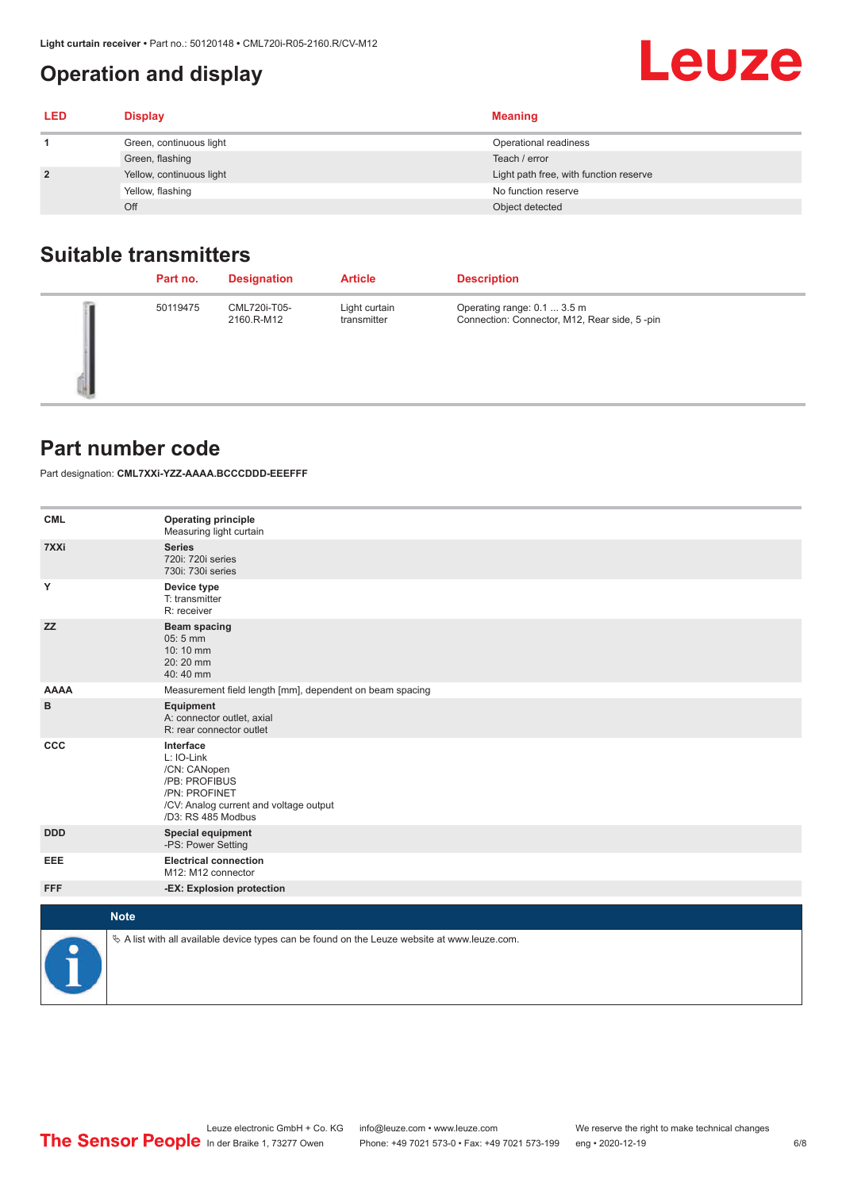## <span id="page-5-0"></span>**Operation and display**

| <b>LED</b>     | <b>Display</b>           | <b>Meaning</b>                         |
|----------------|--------------------------|----------------------------------------|
|                | Green, continuous light  | Operational readiness                  |
|                | Green, flashing          | Teach / error                          |
| $\overline{2}$ | Yellow, continuous light | Light path free, with function reserve |
|                | Yellow, flashing         | No function reserve                    |
|                | Off                      | Object detected                        |

#### **Suitable transmitters**

| Part no. | <b>Designation</b>         | <b>Article</b>               | <b>Description</b>                                                          |
|----------|----------------------------|------------------------------|-----------------------------------------------------------------------------|
| 50119475 | CML720i-T05-<br>2160.R-M12 | Light curtain<br>transmitter | Operating range: 0.1  3.5 m<br>Connection: Connector, M12, Rear side, 5-pin |

#### **Part number code**

Part designation: **CML7XXi-YZZ-AAAA.BCCCDDD-EEEFFF**

| <b>CML</b>  | <b>Operating principle</b><br>Measuring light curtain                                                                                     |
|-------------|-------------------------------------------------------------------------------------------------------------------------------------------|
| 7XXi        | <b>Series</b><br>720i: 720i series<br>730i: 730i series                                                                                   |
| Υ           | Device type<br>T: transmitter<br>R: receiver                                                                                              |
| <b>ZZ</b>   | <b>Beam spacing</b><br>$05:5$ mm<br>10:10 mm<br>20:20 mm<br>40:40 mm                                                                      |
| <b>AAAA</b> | Measurement field length [mm], dependent on beam spacing                                                                                  |
| в           | Equipment<br>A: connector outlet, axial<br>R: rear connector outlet                                                                       |
| CCC         | Interface<br>L: IO-Link<br>/CN: CANopen<br>/PB: PROFIBUS<br>/PN: PROFINET<br>/CV: Analog current and voltage output<br>/D3: RS 485 Modbus |
| <b>DDD</b>  | <b>Special equipment</b><br>-PS: Power Setting                                                                                            |
| <b>EEE</b>  | <b>Electrical connection</b><br>M12: M12 connector                                                                                        |
| <b>FFF</b>  | -EX: Explosion protection                                                                                                                 |
|             | <b>Note</b>                                                                                                                               |
| P           | $\&$ A list with all available device types can be found on the Leuze website at www.leuze.com.                                           |

**Leuze**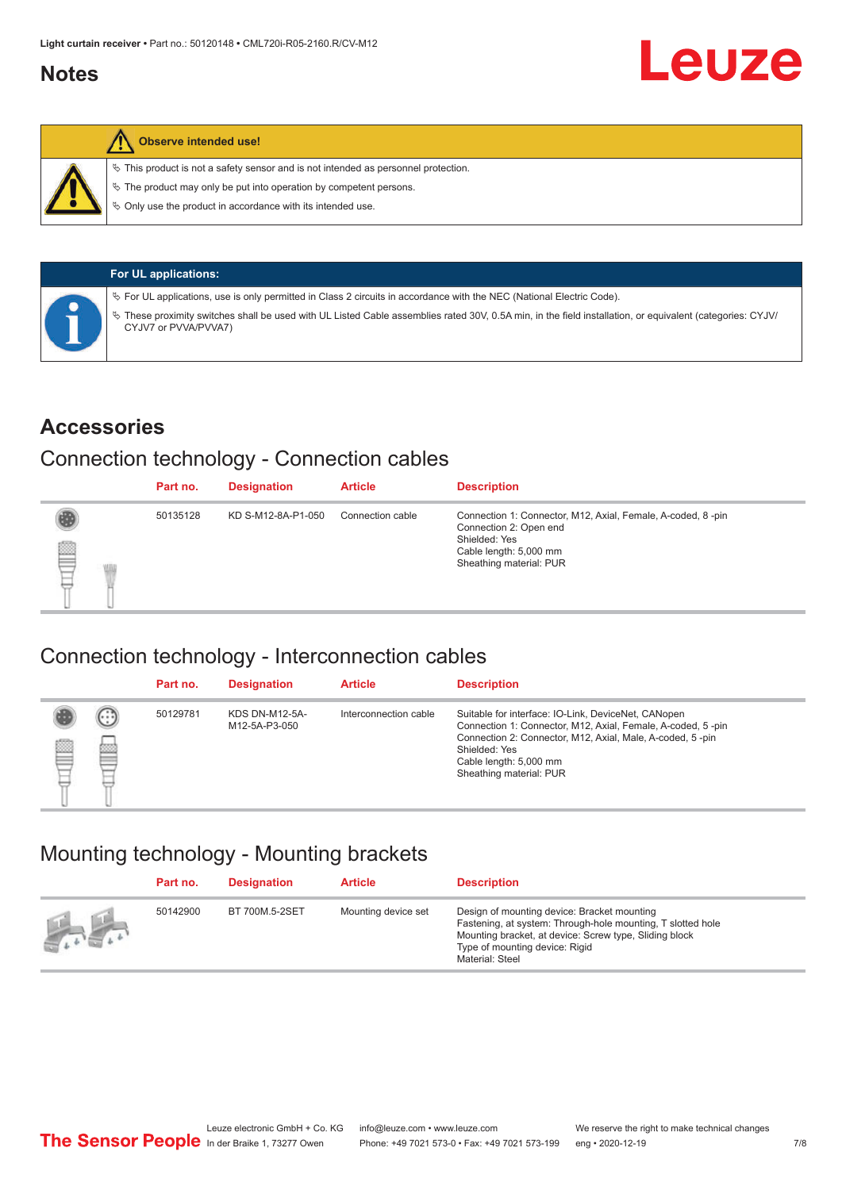#### <span id="page-6-0"></span>**Notes**



#### **Observe intended use!**

 $\%$  This product is not a safety sensor and is not intended as personnel protection.

 $\%$  The product may only be put into operation by competent persons.

 $\%$  Only use the product in accordance with its intended use.

| <b>For UL applications:</b>                                                                                                                                                       |
|-----------------------------------------------------------------------------------------------------------------------------------------------------------------------------------|
| $\%$ For UL applications, use is only permitted in Class 2 circuits in accordance with the NEC (National Electric Code).                                                          |
| V These proximity switches shall be used with UL Listed Cable assemblies rated 30V, 0.5A min, in the field installation, or equivalent (categories: CYJV/<br>CYJV7 or PVVA/PVVA7) |

#### **Accessories**

#### Connection technology - Connection cables

|   | Part no. | <b>Designation</b> | <b>Article</b>   | <b>Description</b>                                                                                                                                          |
|---|----------|--------------------|------------------|-------------------------------------------------------------------------------------------------------------------------------------------------------------|
| § | 50135128 | KD S-M12-8A-P1-050 | Connection cable | Connection 1: Connector, M12, Axial, Female, A-coded, 8-pin<br>Connection 2: Open end<br>Shielded: Yes<br>Cable length: 5,000 mm<br>Sheathing material: PUR |

#### Connection technology - Interconnection cables

|   |                   | Part no. | <b>Designation</b>                     | <b>Article</b>        | <b>Description</b>                                                                                                                                                                                                                                    |
|---|-------------------|----------|----------------------------------------|-----------------------|-------------------------------------------------------------------------------------------------------------------------------------------------------------------------------------------------------------------------------------------------------|
| e | $(\cdot$ : :<br>œ | 50129781 | <b>KDS DN-M12-5A-</b><br>M12-5A-P3-050 | Interconnection cable | Suitable for interface: IO-Link, DeviceNet, CANopen<br>Connection 1: Connector, M12, Axial, Female, A-coded, 5-pin<br>Connection 2: Connector, M12, Axial, Male, A-coded, 5-pin<br>Shielded: Yes<br>Cable length: 5,000 mm<br>Sheathing material: PUR |

#### Mounting technology - Mounting brackets

|               | Part no. | <b>Designation</b> | <b>Article</b>      | <b>Description</b>                                                                                                                                                                                                        |
|---------------|----------|--------------------|---------------------|---------------------------------------------------------------------------------------------------------------------------------------------------------------------------------------------------------------------------|
| $\mathcal{L}$ | 50142900 | BT 700M.5-2SET     | Mounting device set | Design of mounting device: Bracket mounting<br>Fastening, at system: Through-hole mounting, T slotted hole<br>Mounting bracket, at device: Screw type, Sliding block<br>Type of mounting device: Rigid<br>Material: Steel |

Leuze